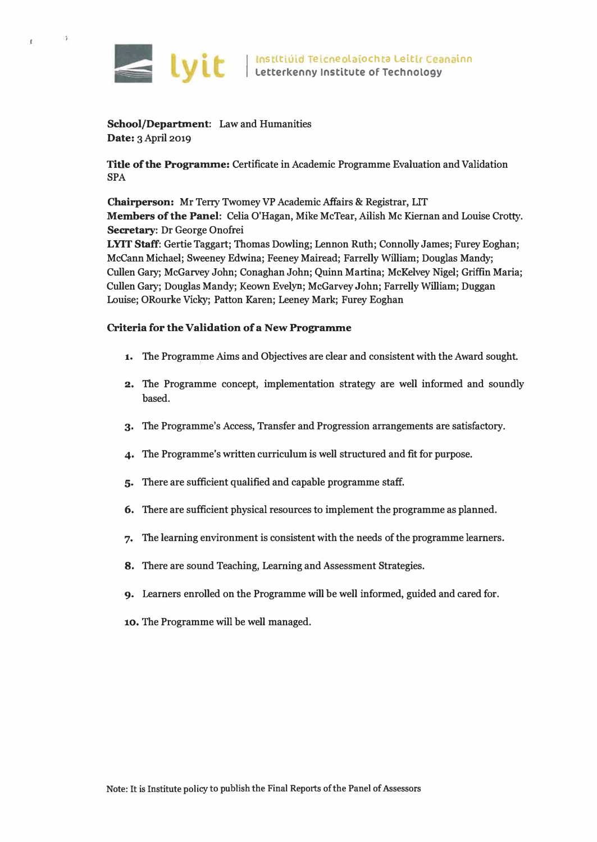

- 7

 $\bar{t}$ 

**School/Department: Law and Humanities Date: 3 April 2019** 

**Title of the Programme: Certificate in Academic Programme Evaluation and Validation SPA** 

**Chairperson: Mr Terry Twomey VP Academic Affairs & Registrar, LIT Members of the Panel: Celia O'Hagan, Mike McTear, Ailish Mc Kiernan and Louise Crotty. Secretary: Dr George Onofrei** 

**LYIT Staff: Gertie Taggart; Thomas Dowling; Lennon Ruth; Connolly James; Furey Eoghan; Mccann Michael; Sweeney Edwina; Feeney Mairead; Farrelly William; Douglas Mandy; Cullen Gary; McGarvey John; Conaghan John; Quinn Martina; McKelvey Nigel; Griffin Maria; Cullen Gary; Douglas Mandy; Keown Evelyn; McGarvey John; Farrelly William; Duggan Louise; ORourke Vicky; Patton Karen; Leeney Mark; Furey Eoghan** 

### **Criteria for the Validation of a New Programme**

- **1. The Programme Aims and Objectives are clear and consistent with the Award sought.**
- **2. The Programme concept, implementation strategy are well informed and soundly based.**
- **3. The Programme's Access, Transfer and Progression arrangements are satisfactory.**
- **4. The Programme's written curriculum is well structured and fit for purpose.**
- **5. There are sufficient qualified and capable programme staff.**
- **6. There are sufficient physical resources to implement the programme as planned.**
- **7. The learning environment is consistent with the needs of the programme learners.**
- **8. There are sound Teaching, Leaming and Assessment Strategies.**
- **9. Learners enrolled on the Programme will be well informed, guided and cared for.**
- **10. The Programme will be well managed.**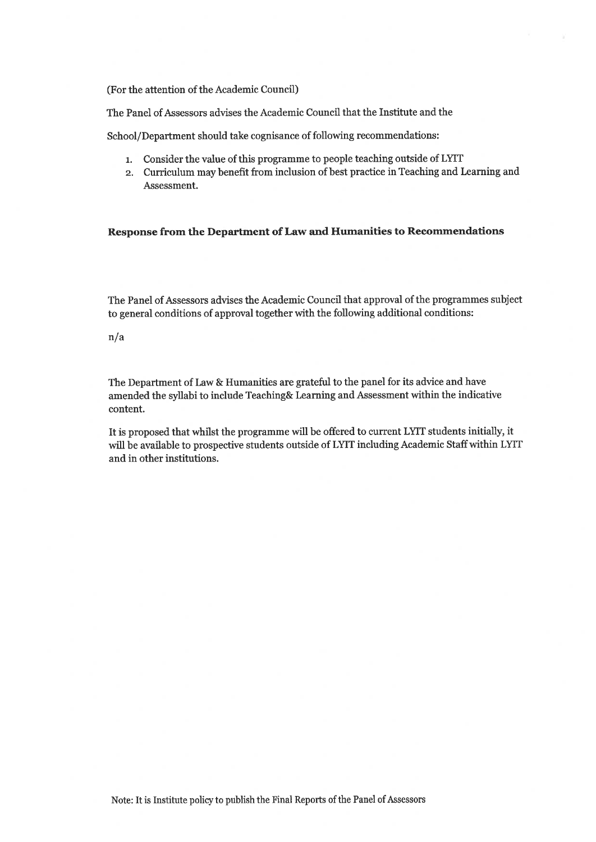(For the attention of the Academic Council)

The Panel of Assessors advises the Academic Council that the Institute and the

School/Department should take cognisance of following recommendations:

- 1. Consider the value of this programme to people teaching outside of LYIT
- 2. Curriculum may benefit from inclusion of best practice in Teaching and Learning and Assessment.

#### Response from the Department of Law and Humanities to Recommendations

The Panel of Assessors advises the Academic Council that approval of the programmes subject to general conditions of approval together with the following additional conditions:

#### $n/a$

The Department of Law & Humanities are grateful to the panel for its advice and have amended the syllabi to include Teaching& Learning and Assessment within the indicative content.

It is proposed that whilst the programme will be offered to current LYIT students initially, it will be available to prospective students outside of LYIT including Academic Staff within LYIT and in other institutions.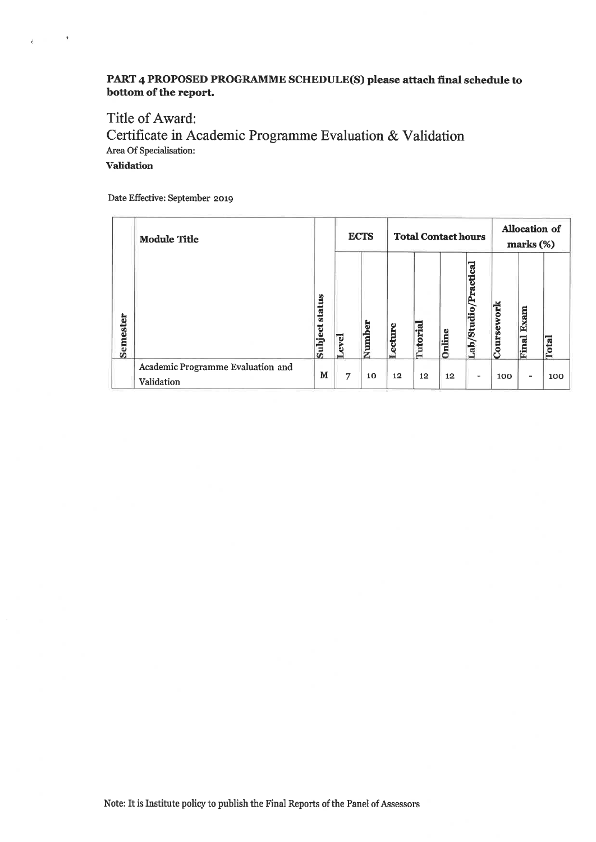## PART 4 PROPOSED PROGRAMME SCHEDULE(S) please attach final schedule to bottom of the report.

# Title of Award: Certificate in Academic Programme Evaluation & Validation Area Of Specialisation: **Validation**

Date Effective: September 2019

 $\mathbf{g} = \mathbf{u}^{\top} \mathbf{u} + \mathbf{v}^{\top} \mathbf{v}$ 

|          | <b>Module Title</b>                             |                | <b>ECTS</b> |        | <b>Total Contact hours</b> |                 |        |                             | Allocation of<br>marks (%) |                          |                   |
|----------|-------------------------------------------------|----------------|-------------|--------|----------------------------|-----------------|--------|-----------------------------|----------------------------|--------------------------|-------------------|
| Semester |                                                 | Subject status | ω           | Number | cture                      | <b>Tutorial</b> | Online | ractical<br>۳<br>Lab/Studio | <u>ork</u><br>Coursey      | Exam<br>Final            | $\mathbf{I}$<br>c |
|          | Academic Programme Evaluation and<br>Validation | м              | 7           | 10     | $12 \,$                    | 12              | 12     | ٠                           | 100                        | $\overline{\phantom{a}}$ | 100               |